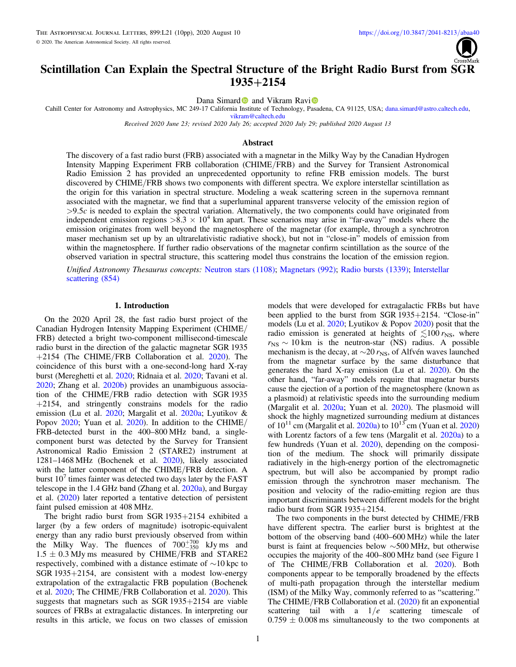

# Scintillation Can Explain the Spectral Structure of the Bright Radio Burst from SGR 1935+2154

Dana Simar[d](https://orcid.org/0000-0002-8873-8784) and V[i](https://orcid.org/0000-0002-7252-5485)kram Ravi<sup>®</sup>

Cahill Center for Astronomy and Astrophysics, MC 249-17 California I[nst](https://orcid.org/0000-0002-8873-8784)itute of Technology, P[asad](https://orcid.org/0000-0002-7252-5485)ena, CA 91125, USA; [dana.simard@astro.caltech.edu](mailto:dana.simard@astro.caltech.edu),

[vikram@caltech.edu](mailto:vikram@caltech.edu)

Received 2020 June 23; revised 2020 July 26; accepted 2020 July 29; published 2020 August 13

# Abstract

The discovery of a fast radio burst (FRB) associated with a magnetar in the Milky Way by the Canadian Hydrogen Intensity Mapping Experiment FRB collaboration (CHIME/FRB) and the Survey for Transient Astronomical Radio Emission 2 has provided an unprecedented opportunity to refine FRB emission models. The burst discovered by CHIME/FRB shows two components with different spectra. We explore interstellar scintillation as the origin for this variation in spectral structure. Modeling a weak scattering screen in the supernova remnant associated with the magnetar, we find that a superluminal apparent transverse velocity of the emission region of  $>9.5c$  is needed to explain the spectral variation. Alternatively, the two components could have originated from independent emission regions  $>8.3 \times 10^4$  km apart. These scenarios may arise in "far-away" models where the emission originates from well beyond the magnetosphere of the magnetar (for example, through a synchrotron maser mechanism set up by an ultrarelativistic radiative shock), but not in "close-in" models of emission from within the magnetosphere. If further radio observations of the magnetar confirm scintillation as the source of the observed variation in spectral structure, this scattering model thus constrains the location of the emission region.

Unified Astronomy Thesaurus concepts: [Neutron stars](http://astrothesaurus.org/uat/1108) (1108); [Magnetars](http://astrothesaurus.org/uat/992) (992); [Radio bursts](http://astrothesaurus.org/uat/1339) (1339); [Interstellar](http://astrothesaurus.org/uat/854) [scattering](http://astrothesaurus.org/uat/854) (854)

# 1. Introduction

On the 2020 April 28, the fast radio burst project of the Canadian Hydrogen Intensity Mapping Experiment (CHIME/ FRB) detected a bright two-component millisecond-timescale radio burst in the direction of the galactic magnetar SGR 1935 +2154 (The CHIME/FRB Collaboration et al. [2020](#page-9-0)). The coincidence of this burst with a one-second-long hard X-ray burst (Mereghetti et al. [2020](#page-8-0); Ridnaia et al. [2020;](#page-8-0) Tavani et al. [2020;](#page-8-0) Zhang et al. [2020b](#page-9-0)) provides an unambiguous association of the CHIME/FRB radio detection with SGR 1935 +2154, and stringently constrains models for the radio emission (Lu et al. [2020](#page-8-0); Margalit et al. [2020a](#page-8-0); Lyutikov & Popov [2020;](#page-8-0) Yuan et al. [2020](#page-9-0)). In addition to the CHIME/ FRB-detected burst in the 400–800 MHz band, a singlecomponent burst was detected by the Survey for Transient Astronomical Radio Emission 2 (STARE2) instrument at 1281–1468 MHz (Bochenek et al. [2020](#page-8-0)), likely associated with the latter component of the CHIME/FRB detection. A burst  $10<sup>7</sup>$  times fainter was detected two days later by the FAST telescope in the 1.4 GHz band (Zhang et al. [2020a](#page-9-0)), and Burgay et al. ([2020](#page-8-0)) later reported a tentative detection of persistent faint pulsed emission at 408 MHz.

The bright radio burst from SGR 1935+2154 exhibited a larger (by a few orders of magnitude) isotropic-equivalent energy than any radio burst previously observed from within the Milky Way. The fluences of  $700^{+700}_{-350}$  kJy ms and  $1.5 \pm 0.3$  MJy ms measured by CHIME/FRB and STARE2 respectively, combined with a distance estimate of ∼10 kpc to SGR 1935+2154, are consistent with a modest low-energy extrapolation of the extragalactic FRB population (Bochenek et al. [2020](#page-8-0); The CHIME/FRB Collaboration et al. [2020](#page-9-0)). This suggests that magnetars such as SGR 1935+2154 are viable sources of FRBs at extragalactic distances. In interpreting our results in this article, we focus on two classes of emission

models that were developed for extragalactic FRBs but have been applied to the burst from SGR 1935+2154. "Close-in" models (Lu et al. [2020](#page-8-0); Lyutikov & Popov [2020](#page-8-0)) posit that the radio emission is generated at heights of  $\lesssim 100$  r<sub>NS</sub>, where  $r_{\rm NS} \sim 10$  km is the neutron-star (NS) radius. A possible mechanism is the decay, at  $\sim$ 20  $r_{\rm NS}$ , of Alfvén waves launched from the magnetar surface by the same disturbance that generates the hard X-ray emission (Lu et al. [2020](#page-8-0)). On the other hand, "far-away" models require that magnetar bursts cause the ejection of a portion of the magnetosphere (known as a plasmoid) at relativistic speeds into the surrounding medium (Margalit et al. [2020a;](#page-8-0) Yuan et al. [2020](#page-9-0)). The plasmoid will shock the highly magnetized surrounding medium at distances of  $10^{11}$  cm (Margalit et al. [2020a](#page-8-0)) to  $10^{13}$  cm (Yuan et al. [2020](#page-9-0)) with Lorentz factors of a few tens (Margalit et al. [2020a](#page-8-0)) to a few hundreds (Yuan et al. [2020](#page-9-0)), depending on the composition of the medium. The shock will primarily dissipate radiatively in the high-energy portion of the electromagnetic spectrum, but will also be accompanied by prompt radio emission through the synchrotron maser mechanism. The position and velocity of the radio-emitting region are thus important discriminants between different models for the bright radio burst from SGR 1935+2154.

The two components in the burst detected by CHIME/FRB have different spectra. The earlier burst is brightest at the bottom of the observing band (400–600 MHz) while the later burst is faint at frequencies below ∼500 MHz, but otherwise occupies the majority of the 400–800 MHz band (see Figure 1 of The CHIME/FRB Collaboration et al. [2020](#page-9-0)). Both components appear to be temporally broadened by the effects of multi-path propagation through the interstellar medium (ISM) of the Milky Way, commonly referred to as "scattering." The CHIME/FRB Collaboration et al. ([2020](#page-9-0)) fit an exponential scattering tail with a  $1/e$  scattering timescale of  $0.759 \pm 0.008$  ms simultaneously to the two components at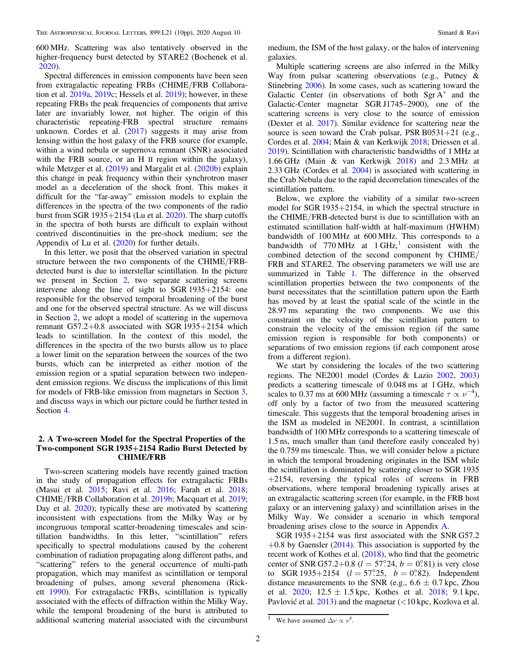600 MHz. Scattering was also tentatively observed in the higher-frequency burst detected by STARE2 (Bochenek et al. [2020](#page-8-0)).

Spectral differences in emission components have been seen from extragalactic repeating FRBs (CHIME/FRB Collaboration et al. [2019a,](#page-8-0) [2019c](#page-8-0); Hessels et al. [2019](#page-8-0)); however, in these repeating FRBs the peak frequencies of components that arrive later are invariably lower, not higher. The origin of this characteristic repeating-FRB spectral structure remains unknown. Cordes et al.  $(2017)$  $(2017)$  $(2017)$  suggests it may arise from lensing within the host galaxy of the FRB source (for example, within a wind nebula or supernova remnant (SNR) associated with the FRB source, or an H II region within the galaxy), while Metzger et al. ([2019](#page-8-0)) and Margalit et al. ([2020b](#page-8-0)) explain this change in peak frequency within their synchrotron maser model as a deceleration of the shock front. This makes it difficult for the "far-away" emission models to explain the differences in the spectra of the two components of the radio burst from SGR 1935+2154 (Lu et al. [2020](#page-8-0)). The sharp cutoffs in the spectra of both bursts are difficult to explain without contrived discontinuities in the pre-shock medium; see the Appendix of Lu et al. ([2020](#page-8-0)) for further details.

In this letter, we posit that the observed variation in spectral structure between the two components of the CHIME/FRBdetected burst is due to interstellar scintillation. In the picture we present in Section 2, two separate scattering screens intervene along the line of sight to SGR 1935+2154: one responsible for the observed temporal broadening of the burst and one for the observed spectral structure. As we will discuss in Section 2, we adopt a model of scattering in the supernova remnant G57.2+0.8 associated with SGR 1935+2154 which leads to scintillation. In the context of this model, the differences in the spectra of the two bursts allow us to place a lower limit on the separation between the sources of the two bursts, which can be interpreted as either motion of the emission region or a spatial separation between two independent emission regions. We discuss the implications of this limit for models of FRB-like emission from magnetars in Section [3,](#page-4-0) and discuss ways in which our picture could be further tested in Section [4.](#page-6-0)

# 2. A Two-screen Model for the Spectral Properties of the Two-component SGR 1935+2154 Radio Burst Detected by CHIME/FRB

Two-screen scattering models have recently gained traction in the study of propagation effects for extragalactic FRBs (Masui et al. [2015;](#page-8-0) Ravi et al. [2016](#page-8-0); Farah et al. [2018](#page-8-0); CHIME/FRB Collaboration et al. [2019b](#page-8-0); Macquart et al. [2019](#page-8-0); Day et al. [2020](#page-8-0)); typically these are motivated by scattering inconsistent with expectations from the Milky Way or by incongruous temporal scatter-broadening timescales and scintillation bandwidths. In this letter, "scintillation" refers specifically to spectral modulations caused by the coherent combination of radiation propagating along different paths, and "scattering" refers to the general occurrence of multi-path propagation, which may manifest as scintillation or temporal broadening of pulses, among several phenomena (Rickett [1990](#page-8-0)). For extragalactic FRBs, scintillation is typically associated with the effects of diffraction within the Milky Way, while the temporal broadening of the burst is attributed to additional scattering material associated with the circumburst

medium, the ISM of the host galaxy, or the halos of intervening galaxies.

Multiple scattering screens are also inferred in the Milky Way from pulsar scattering observations (e.g., Putney & Stinebring [2006](#page-8-0)). In some cases, such as scattering toward the Galactic Center (in observations of both  $Sgr A^*$  and the Galactic-Center magnetar SGR J1745–2900), one of the scattering screens is very close to the source of emission (Dexter et al. [2017](#page-8-0)). Similar evidence for scattering near the source is seen toward the Crab pulsar, PSR B0531+21 (e.g., Cordes et al. [2004;](#page-8-0) Main & van Kerkwijk [2018](#page-8-0); Driessen et al. [2019](#page-8-0)). Scintillation with characteristic bandwidths of 1 MHz at 1.66 GHz (Main & van Kerkwijk [2018](#page-8-0)) and 2.3 MHz at 2.33 GHz (Cordes et al. [2004](#page-8-0)) is associated with scattering in the Crab Nebula due to the rapid decorrelation timescales of the scintillation pattern.

Below, we explore the viability of a similar two-screen model for SGR 1935+2154, in which the spectral structure in the CHIME/FRB-detected burst is due to scintillation with an estimated scintillation half-width at half-maximum (HWHM) bandwidth of 100 MHz at 600 MHz. This corresponds to a bandwidth of 770 MHz at  $1 \text{ GHz}$ , consistent with the combined detection of the second component by CHIME/ FRB and STARE2. The observing parameters we will use are summarized in Table [1.](#page-2-0) The difference in the observed scintillation properties between the two components of the burst necessitates that the scintillation pattern upon the Earth has moved by at least the spatial scale of the scintle in the 28.97 ms separating the two components. We use this constraint on the velocity of the scintillation pattern to constrain the velocity of the emission region (if the same emission region is responsible for both components) or separations of two emission regions (if each component arose from a different region).

We start by considering the locales of the two scattering regions. The NE2001 model (Cordes & Lazio [2002](#page-8-0), [2003](#page-8-0)) predicts a scattering timescale of 0.048 ms at 1 GHz, which scales to 0.37 ms at 600 MHz (assuming a timescale  $\tau \propto \nu^{-4}$ ), off only by a factor of two from the measured scattering timescale. This suggests that the temporal broadening arises in the ISM as modeled in NE2001. In contrast, a scintillation bandwidth of 100 MHz corresponds to a scattering timescale of 1.5 ns, much smaller than (and therefore easily concealed by) the 0.759 ms timescale. Thus, we will consider below a picture in which the temporal broadening originates in the ISM while the scintillation is dominated by scattering closer to SGR 1935 +2154, reversing the typical roles of screens in FRB observations, where temporal broadening typically arises at an extragalactic scattering screen (for example, in the FRB host galaxy or an intervening galaxy) and scintillation arises in the Milky Way. We consider a scenario in which temporal broadening arises close to the source in Appendix [A.](#page-7-0)

SGR 1935+2154 was first associated with the SNR G57.2  $+0.8$  by Gaensler ([2014](#page-8-0)). This association is supported by the recent work of Kothes et al. ([2018](#page-8-0)), who find that the geometric center of SNR G57.2+0.8 ( $l = 57^\circ.24$ ,  $b = 0^\circ.81$ ) is very close to SGR 1935+2154 ( $l = 57^\circ.25$ ,  $b = 0^\circ.82$ ). Independent distance measurements to the SNR (e.g.,  $6.6 \pm 0.7$  kpc, Zhou et al.  $2020$ ;  $12.5 \pm 1.5$  kpc, Kothes et al.  $2018$ ; 9.1 kpc, Pavlović et al. [2013](#page-8-0)) and the magnetar (<10 kpc, Kozlova et al.

<sup>&</sup>lt;sup>1</sup> We have assumed  $\Delta \nu \propto \nu^4$ .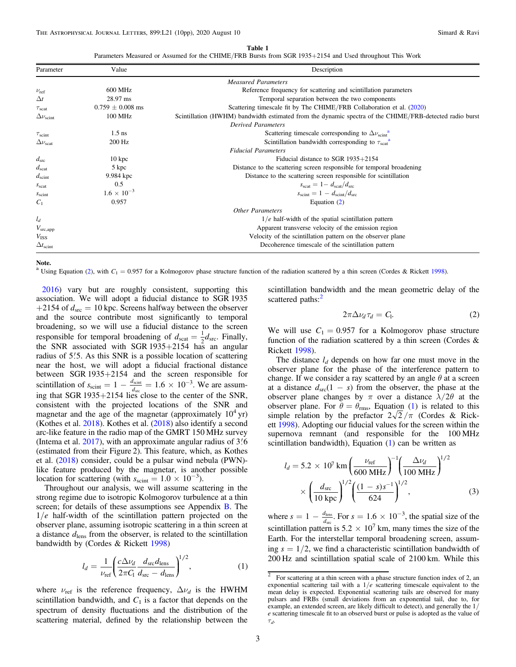Table 1

Parameters Measured or Assumed for the CHIME/FRB Bursts from SGR 1935+2154 and Used throughout This Work

<span id="page-2-0"></span>

| Parameter                | Value                | Description                                                                                             |
|--------------------------|----------------------|---------------------------------------------------------------------------------------------------------|
|                          |                      | <b>Measured Parameters</b>                                                                              |
| $\nu_{\rm ref}$          | 600 MHz              | Reference frequency for scattering and scintillation parameters                                         |
| $\Delta t$               | 28.97 ms             | Temporal separation between the two components                                                          |
| $\tau_{\text{scat}}$     | $0.759 \pm 0.008$ ms | Scattering timescale fit by The CHIME/FRB Collaboration et al. (2020)                                   |
| $\Delta \nu_{\rm scint}$ | 100 MHz              | Scintillation (HWHM) bandwidth estimated from the dynamic spectra of the CHIME/FRB-detected radio burst |
|                          |                      | <b>Derived Parameters</b>                                                                               |
| $\tau_{\text{scint}}$    | $1.5$ ns             | Scattering timescale corresponding to $\Delta \nu_{\rm scint}^2$                                        |
| $\Delta \nu_{\rm scat}$  | 200 Hz               | Scintillation bandwidth corresponding to $\tau_{scat}^2$                                                |
|                          |                      | <b>Fiducial Parameters</b>                                                                              |
| $d_{\rm src}$            | $10 \text{ kpc}$     | Fiducial distance to SGR $1935+2154$                                                                    |
| $d_{\rm scat}$           | 5 kpc                | Distance to the scattering screen responsible for temporal broadening                                   |
| $d_{\rm scint}$          | 9.984 kpc            | Distance to the scattering screen responsible for scintillation                                         |
| $S_{\text{scat}}$        | 0.5                  | $s_{\text{scat}} = 1 - d_{\text{scat}}/d_{\text{src}}$                                                  |
| $S_{\rm scint}$          | $1.6 \times 10^{-3}$ | $s_{\rm scint} = 1 - d_{\rm scint}/d_{\rm src}$                                                         |
| $C_1$                    | 0.957                | Equation $(2)$                                                                                          |
|                          |                      | <b>Other Parameters</b>                                                                                 |
| $l_d$                    |                      | $1/e$ half-width of the spatial scintillation pattern                                                   |
| $V_{\rm src, app}$       |                      | Apparent transverse velocity of the emission region                                                     |
| $V_{\rm ISS}$            |                      | Velocity of the scintillation pattern on the observer plane                                             |
| $\Delta t_{\rm scint}$   |                      | Decoherence timescale of the scintillation pattern                                                      |

Note.

<sup>a</sup> Using Equation (2), with  $C_1 = 0.957$  for a Kolmogorov phase structure function of the radiation scattered by a thin screen (Cordes & Rickett [1998](#page-8-0)).

[2016](#page-8-0)) vary but are roughly consistent, supporting this association. We will adopt a fiducial distance to SGR 1935 +2154 of  $d_{\text{src}} = 10$  kpc. Screens halfway between the observer and the source contribute most significantly to temporal broadening, so we will use a fiducial distance to the screen responsible for temporal broadening of  $d_{\text{scat}} = \frac{1}{2}d_{\text{src}}$ . Finally, the SNR associated with SGR 1935+2154 has an angular radius of 5.5. As this SNR is a possible location of scattering near the host, we will adopt a fiducial fractional distance between SGR 1935+2154 and the screen responsible for scintillation of  $s_{\text{scint}} = 1 - \frac{d_{\text{scint}}}{d_{\text{src}}} = 1.6 \times 10^{-3}$ . We are assuming that SGR 1935+2154 lies close to the center of the SNR, consistent with the projected locations of the SNR and magnetar and the age of the magnetar (approximately  $10^4$  yr) (Kothes et al. [2018](#page-8-0)). Kothes et al. ([2018](#page-8-0)) also identify a second arc-like feature in the radio map of the GMRT 150 MHz survey (Intema et al.  $2017$ ), with an approximate angular radius of  $3\rlap{.}^{\prime}6$ (estimated from their Figure 2). This feature, which, as Kothes et al. ([2018](#page-8-0)) consider, could be a pulsar wind nebula (PWN) like feature produced by the magnetar, is another possible location for scattering (with  $s_{\text{scint}} = 1.0 \times 10^{-3}$ ).

Throughout our analysis, we will assume scattering in the strong regime due to isotropic Kolmogorov turbulence at a thin screen; for details of these assumptions see Appendix **B**. The  $1/e$  half-width of the scintillation pattern projected on the observer plane, assuming isotropic scattering in a thin screen at a distance  $d_{\text{lens}}$  from the observer, is related to the scintillation bandwidth by (Cordes & Rickett [1998](#page-8-0))

$$
l_d = \frac{1}{\nu_{\text{ref}}} \left( \frac{c \Delta \nu_d}{2\pi C_1} \frac{d_{\text{src}} d_{\text{lens}}}{d_{\text{src}} - d_{\text{lens}}} \right)^{1/2},\tag{1}
$$

where  $\nu_{ref}$  is the reference frequency,  $\Delta \nu_d$  is the HWHM scintillation bandwidth, and  $C_1$  is a factor that depends on the spectrum of density fluctuations and the distribution of the scattering material, defined by the relationship between the scintillation bandwidth and the mean geometric delay of the scattered paths:<sup>2</sup>

$$
2\pi \Delta \nu_d \tau_d = C_1. \tag{2}
$$

We will use  $C_1 = 0.957$  for a Kolmogorov phase structure function of the radiation scattered by a thin screen (Cordes  $\&$ Rickett [1998](#page-8-0)).

The distance  $l_d$  depends on how far one must move in the observer plane for the phase of the interference pattern to change. If we consider a ray scattered by an angle  $\theta$  at a screen at a distance  $d_{src}(1 - s)$  from the observer, the phase at the observer plane changes by  $\pi$  over a distance  $\lambda/2\theta$  at the observer plane. For  $\theta = \theta_{\text{rms}}$ , Equation (1) is related to this simple relation by the prefactor  $2\sqrt{2}/\pi$  (Cordes & Rickett [1998](#page-8-0)). Adopting our fiducial values for the screen within the supernova remnant (and responsible for the 100 MHz scintillation bandwidth), Equation (1) can be written as

$$
l_d = 5.2 \times 10^7 \text{ km} \left( \frac{\nu_{\text{ref}}}{600 \text{ MHz}} \right)^{-1} \left( \frac{\Delta \nu_d}{100 \text{ MHz}} \right)^{1/2} \times \left( \frac{d_{\text{src}}}{10 \text{ kpc}} \right)^{1/2} \left( \frac{(1 - s)s^{-1}}{624} \right)^{1/2}, \tag{3}
$$

where  $s = 1 - \frac{d_{\text{lens}}}{d_{\text{src}}}$  $\frac{\text{ems}}{\text{sec}}$ . For  $s = 1.6 \times 10^{-3}$ , the spatial size of the scintillation pattern is  $5.2 \times 10^7$  km, many times the size of the Earth. For the interstellar temporal broadening screen, assuming  $s = 1/2$ , we find a characteristic scintillation bandwidth of 200 Hz and scintillation spatial scale of 2100 km. While this

 $\overline{2}$  For scattering at a thin screen with a phase structure function index of 2, an exponential scattering tail with a  $1/e$  scattering timescale equivalent to the mean delay is expected. Exponential scattering tails are observed for many pulsars and FRBs (small deviations from an exponential tail, due to, for example, an extended screen, are likely difficult to detect), and generally the 1/ e scattering timescale fit to an observed burst or pulse is adopted as the value of  $\tau_d$ .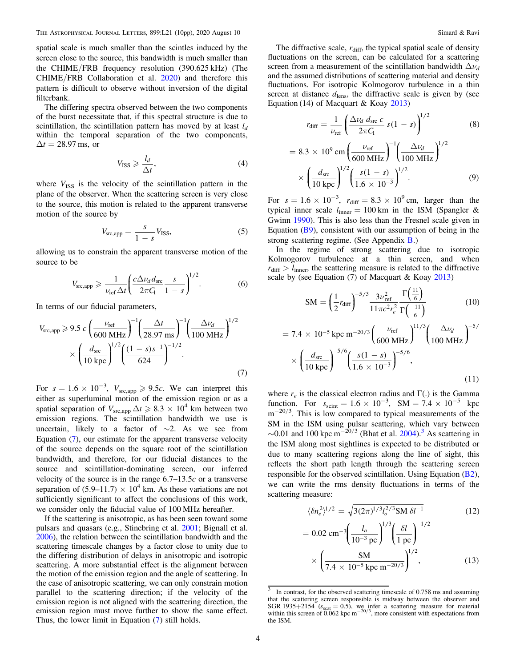<span id="page-3-0"></span>spatial scale is much smaller than the scintles induced by the screen close to the source, this bandwidth is much smaller than the CHIME/FRB frequency resolution (390.625 kHz) (The CHIME/FRB Collaboration et al. [2020](#page-9-0)) and therefore this pattern is difficult to observe without inversion of the digital filterbank.

The differing spectra observed between the two components of the burst necessitate that, if this spectral structure is due to scintillation, the scintillation pattern has moved by at least  $l_d$ within the temporal separation of the two components,  $\Delta t = 28.97$  ms, or

$$
V_{\rm ISS} \geqslant \frac{l_d}{\Delta t},\tag{4}
$$

where  $V_{ISS}$  is the velocity of the scintillation pattern in the plane of the observer. When the scattering screen is very close to the source, this motion is related to the apparent transverse motion of the source by

$$
V_{\rm src, app} = \frac{s}{1 - s} V_{\rm ISS},\tag{5}
$$

allowing us to constrain the apparent transverse motion of the source to be

$$
V_{\rm src, app} \geqslant \frac{1}{\nu_{\rm ref} \Delta t} \left( \frac{c \Delta \nu_d d_{\rm src}}{2\pi C_1} \frac{s}{1-s} \right)^{1/2}.
$$
 (6)

In terms of our fiducial parameters,

$$
V_{\text{src,app}} \ge 9.5 \, c \left( \frac{\nu_{\text{ref}}}{600 \, \text{MHz}} \right)^{-1} \left( \frac{\Delta t}{28.97 \, \text{ms}} \right)^{-1} \left( \frac{\Delta \nu_d}{100 \, \text{MHz}} \right)^{1/2} \times \left( \frac{d_{\text{src}}}{10 \, \text{kpc}} \right)^{1/2} \left( \frac{(1 - s)s^{-1}}{624} \right)^{-1/2} . \tag{7}
$$

For  $s = 1.6 \times 10^{-3}$ ,  $V_{\text{src,app}} \ge 9.5c$ . We can interpret this either as superluminal motion of the emission region or as a spatial separation of  $V_{\text{src,amp}} \Delta t \ge 8.3 \times 10^4$  km between two emission regions. The scintillation bandwidth we use is uncertain, likely to a factor of  $\sim$ 2. As we see from Equation  $(7)$ , our estimate for the apparent transverse velocity of the source depends on the square root of the scintillation bandwidth, and therefore, for our fiducial distances to the source and scintillation-dominating screen, our inferred velocity of the source is in the range  $6.7-13.5c$  or a transverse separation of  $(5.9-11.7) \times 10^4$  km. As these variations are not sufficiently significant to affect the conclusions of this work, we consider only the fiducial value of 100 MHz hereafter.

If the scattering is anisotropic, as has been seen toward some pulsars and quasars (e.g., Stinebring et al. [2001;](#page-8-0) Bignall et al. [2006](#page-8-0)), the relation between the scintillation bandwidth and the scattering timescale changes by a factor close to unity due to the differing distribution of delays in anisotropic and isotropic scattering. A more substantial effect is the alignment between the motion of the emission region and the angle of scattering. In the case of anisotropic scattering, we can only constrain motion parallel to the scattering direction; if the velocity of the emission region is not aligned with the scattering direction, the emission region must move further to show the same effect. Thus, the lower limit in Equation (7) still holds.

The diffractive scale,  $r_{\text{diff}}$ , the typical spatial scale of density fluctuations on the screen, can be calculated for a scattering screen from a measurement of the scintillation bandwidth  $\Delta\nu_d$ and the assumed distributions of scattering material and density fluctuations. For isotropic Kolmogorov turbulence in a thin screen at distance  $d_{\text{lens}}$ , the diffractive scale is given by (see Equation (14) of Macquart & Koay [2013](#page-8-0))

$$
r_{\text{diff}} = \frac{1}{\nu_{\text{ref}}} \left( \frac{\Delta \nu_d \, d_{\text{src}} \, c}{2 \pi C_1} \, s (1 - s) \right)^{1/2} \tag{8}
$$

$$
= 8.3 \times 10^{9} \text{ cm} \left(\frac{\nu_{\text{ref}}}{600 \text{ MHz}}\right)^{-1} \left(\frac{\Delta \nu_{d}}{100 \text{ MHz}}\right)^{1/2} \times \left(\frac{d_{\text{src}}}{10 \text{ kpc}}\right)^{1/2} \left(\frac{s(1-s)}{1.6 \times 10^{-3}}\right)^{1/2}.
$$
 (9)

For  $s = 1.6 \times 10^{-3}$ ,  $r_{diff} = 8.3 \times 10^{9}$  cm, larger than the typical inner scale  $l_{\text{inner}} = 100 \text{ km}$  in the ISM (Spangler & Gwinn [1990](#page-8-0)). This is also less than the Fresnel scale given in Equation ([B9](#page-8-0)), consistent with our assumption of being in the strong scattering regime. (See Appendix [B](#page-7-0).)

In the regime of strong scattering due to isotropic Kolmogorov turbulence at a thin screen, and when  $r_{\text{diff}} > l_{\text{inner}}$ , the scattering measure is related to the diffractive scale by (see Equation (7) of Macquart & Koay [2013](#page-8-0))

$$
SM = \left(\frac{1}{2}r_{\text{diff}}\right)^{-5/3} \frac{3\nu_{\text{ref}}^2}{11\pi c^2 r_e^2} \frac{\Gamma\left(\frac{11}{6}\right)}{\Gamma\left(\frac{-11}{6}\right)}\tag{10}
$$

$$
= 7.4 \times 10^{-5} \text{ kpc m}^{-20/3} \left( \frac{\nu_{\text{ref}}}{600 \text{ MHz}} \right)^{11/3} \left( \frac{\Delta \nu_d}{100 \text{ MHz}} \right)^{-5/6}
$$

$$
\times \left( \frac{d_{\text{src}}}{10 \text{ kpc}} \right)^{-5/6} \left( \frac{s(1-s)}{1.6 \times 10^{-3}} \right)^{-5/6}, \tag{11}
$$

where  $r_e$  is the classical electron radius and Γ(.) is the Gamma function. For  $s_{\text{scint}} = 1.6 \times 10^{-3}$ , SM = 7.4 × 10<sup>-5</sup> kpc m<sup>-20/3</sup>. This is low compared to typical measurements of the SM in the ISM using pulsar scattering, which vary between  $\sim$ 0.01 and 100 kpc m<sup> $-20/3$ </sup> (Bhat et al. [2004](#page-8-0)).<sup>3</sup> As scattering in the ISM along most sightlines is expected to be distributed or due to many scattering regions along the line of sight, this reflects the short path length through the scattering screen responsible for the observed scintillation. Using Equation ([B2](#page-7-0)), we can write the rms density fluctuations in terms of the scattering measure:

$$
\langle \delta n_e^2 \rangle^{1/2} = \sqrt{3(2\pi)^{1/3} l_o^{2/3} \text{SM } \delta l^{-1}}
$$
(12)  
= 0.02 cm<sup>-3</sup>  $\left( \frac{l_o}{10^{-3} \text{ pc}} \right)^{1/3} \left( \frac{\delta l}{1 \text{ pc}} \right)^{-1/2}$   

$$
\times \left( \frac{\text{SM}}{7.4 \times 10^{-5} \text{ kpc m}^{-20/3}} \right)^{1/2},
$$
(13)

In contrast, for the observed scattering timescale of 0.758 ms and assuming that the scattering screen responsible is midway between the observer and SGR 1935+2154 ( $s_{\text{scat}} = 0.5$ ), we infer a scattering measure for material within this screen of 0.062 kpc m<sup>-20/3</sup>, more consistent with expectations from the ISM.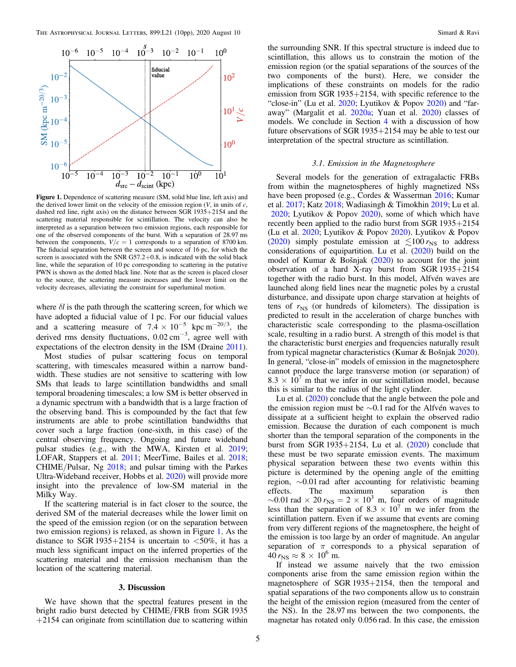<span id="page-4-0"></span>

Figure 1. Dependence of scattering measure (SM, solid blue line, left axis) and the derived lower limit on the velocity of the emission region  $(V, \text{ in units of } c)$ , dashed red line, right axis) on the distance between SGR 1935+2154 and the scattering material responsible for scintillation. The velocity can also be interpreted as a separation between two emission regions, each responsible for one of the observed components of the burst. With a separation of 28.97 ms between the components,  $V/c = 1$  corresponds to a separation of 8700 km. The fiducial separation between the screen and source of 16 pc, for which the screen is associated with the SNR G57.2+0.8, is indicated with the solid black line, while the separation of 10 pc corresponding to scattering in the putative PWN is shown as the dotted black line. Note that as the screen is placed closer to the source, the scattering measure increases and the lower limit on the velocity decreases, alleviating the constraint for superluminal motion.

where  $\delta l$  is the path through the scattering screen, for which we have adopted a fiducial value of 1 pc. For our fiducial values and a scattering measure of  $7.4 \times 10^{-5}$  kpc m<sup>-20/3</sup>, the derived rms density fluctuations,  $0.02 \text{ cm}^{-3}$ , agree well with expectations of the electron density in the ISM (Draine [2011](#page-8-0)).

Most studies of pulsar scattering focus on temporal scattering, with timescales measured within a narrow bandwidth. These studies are not sensitive to scattering with low SMs that leads to large scintillation bandwidths and small temporal broadening timescales; a low SM is better observed in a dynamic spectrum with a bandwidth that is a large fraction of the observing band. This is compounded by the fact that few instruments are able to probe scintillation bandwidths that cover such a large fraction (one-sixth, in this case) of the central observing frequency. Ongoing and future wideband pulsar studies (e.g., with the MWA, Kirsten et al. [2019](#page-8-0); LOFAR, Stappers et al. [2011;](#page-8-0) MeerTime, Bailes et al. [2018](#page-8-0); CHIME/Pulsar, Ng [2018](#page-8-0); and pulsar timing with the Parkes Ultra-Wideband receiver, Hobbs et al. [2020](#page-8-0)) will provide more insight into the prevalence of low-SM material in the Milky Way.

If the scattering material is in fact closer to the source, the derived SM of the material decreases while the lower limit on the speed of the emission region (or on the separation between two emission regions) is relaxed, as shown in Figure 1. As the distance to SGR 1935+2154 is uncertain to  $< 50\%$ , it has a much less significant impact on the inferred properties of the scattering material and the emission mechanism than the location of the scattering material.

#### 3. Discussion

We have shown that the spectral features present in the bright radio burst detected by CHIME/FRB from SGR 1935  $+2154$  can originate from scintillation due to scattering within

the surrounding SNR. If this spectral structure is indeed due to scintillation, this allows us to constrain the motion of the emission region (or the spatial separations of the sources of the two components of the burst). Here, we consider the implications of these constraints on models for the radio emission from SGR 1935+2154, with specific reference to the "close-in" (Lu et al.  $2020$ ; Lyutikov & Popov  $2020$ ) and "faraway" (Margalit et al. [2020a](#page-8-0); Yuan et al. [2020](#page-9-0)) classes of models. We conclude in Section [4](#page-6-0) with a discussion of how future observations of SGR 1935+2154 may be able to test our interpretation of the spectral structure as scintillation.

#### 3.1. Emission in the Magnetosphere

Several models for the generation of extragalactic FRBs from within the magnetospheres of highly magnetized NSs have been proposed (e.g., Cordes & Wasserman [2016;](#page-8-0) Kumar et al. [2017](#page-8-0); Katz [2018](#page-8-0); Wadiasingh & Timokhin [2019](#page-9-0); Lu et al. [2020;](#page-8-0) Lyutikov & Popov [2020](#page-8-0)), some of which which have recently been applied to the radio burst from SGR 1935+2154 (Lu et al. [2020;](#page-8-0) Lyutikov & Popov [2020](#page-8-0)). Lyutikov & Popov ([2020](#page-8-0)) simply postulate emission at  $\leq 100 r_{\rm NS}$  to address considerations of equipartition. Lu et al. ([2020](#page-8-0)) build on the model of Kumar & Bošnjak ([2020](#page-8-0)) to account for the joint observation of a hard X-ray burst from SGR 1935+2154 together with the radio burst. In this model, Alfvén waves are launched along field lines near the magnetic poles by a crustal disturbance, and dissipate upon charge starvation at heights of tens of  $r_{\rm NS}$  (or hundreds of kilometers). The dissipation is predicted to result in the acceleration of charge bunches with characteristic scale corresponding to the plasma-oscillation scale, resulting in a radio burst. A strength of this model is that the characteristic burst energies and frequencies naturally result from typical magnetar characteristics (Kumar & Bošnjak [2020](#page-8-0)). In general, "close-in" models of emission in the magnetosphere cannot produce the large transverse motion (or separation) of  $8.3 \times 10^{7}$  m that we infer in our scintillation model, because this is similar to the radius of the light cylinder.

Lu et al. ([2020](#page-8-0)) conclude that the angle between the pole and the emission region must be ∼0.1 rad for the Alfvén waves to dissipate at a sufficient height to explain the observed radio emission. Because the duration of each component is much shorter than the temporal separation of the components in the burst from SGR 1935+2154, Lu et al.  $(2020)$  $(2020)$  $(2020)$  conclude that these must be two separate emission events. The maximum physical separation between these two events within this picture is determined by the opening angle of the emitting region, ∼0.01 rad after accounting for relativistic beaming effects. The maximum separation is then  $\sim$ 0.01 rad  $\times$  20  $r_{\rm NS}$  = 2  $\times$  10<sup>3</sup> m, four orders of magnitude less than the separation of  $8.3 \times 10^7$  m we infer from the scintillation pattern. Even if we assume that events are coming from very different regions of the magnetosphere, the height of the emission is too large by an order of magnitude. An angular separation of  $\pi$  corresponds to a physical separation of  $40 r_{\rm NS} \approx 8 \times 10^6$  m.

If instead we assume naively that the two emission components arise from the same emission region within the magnetosphere of SGR 1935+2154, then the temporal and spatial separations of the two components allow us to constrain the height of the emission region (measured from the center of the NS). In the 28.97 ms between the two components, the magnetar has rotated only 0.056 rad. In this case, the emission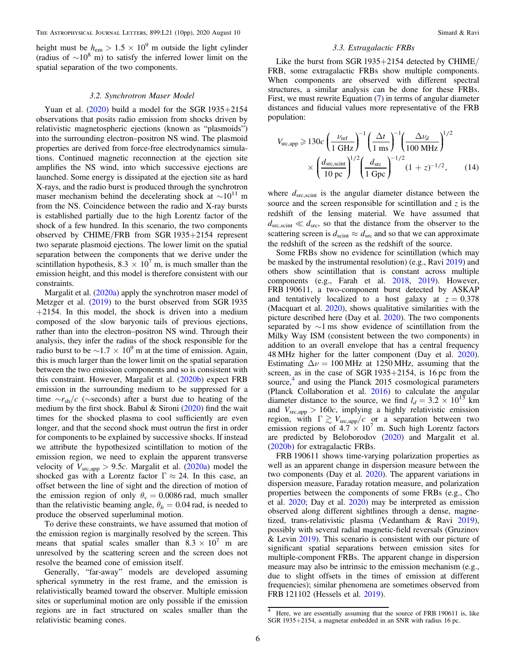height must be  $h_{\text{em}} > 1.5 \times 10^9$  m outside the light cylinder (radius of  $\sim 10^8$  m) to satisfy the inferred lower limit on the spatial separation of the two components.

# 3.2. Synchrotron Maser Model

Yuan et al.  $(2020)$  $(2020)$  $(2020)$  build a model for the SGR 1935+2154 observations that posits radio emission from shocks driven by relativistic magnetospheric ejections (known as "plasmoids") into the surrounding electron–positron NS wind. The plasmoid properties are derived from force-free electrodynamics simulations. Continued magnetic reconnection at the ejection site amplifies the NS wind, into which successive ejections are launched. Some energy is dissipated at the ejection site as hard X-rays, and the radio burst is produced through the synchrotron maser mechanism behind the decelerating shock at  $\sim 10^{11}$  m from the NS. Coincidence between the radio and X-ray bursts is established partially due to the high Lorentz factor of the shock of a few hundred. In this scenario, the two components observed by CHIME/FRB from SGR 1935+2154 represent two separate plasmoid ejections. The lower limit on the spatial separation between the components that we derive under the scintillation hypothesis,  $8.3 \times 10^7$  m, is much smaller than the emission height, and this model is therefore consistent with our constraints.

Margalit et al. ([2020a](#page-8-0)) apply the synchrotron maser model of Metzger et al. ([2019](#page-8-0)) to the burst observed from SGR 1935  $+2154$ . In this model, the shock is driven into a medium composed of the slow baryonic tails of previous ejections, rather than into the electron–positron NS wind. Through their analysis, they infer the radius of the shock responsible for the radio burst to be  $\sim$ 1.7 × 10<sup>9</sup> m at the time of emission. Again, this is much larger than the lower limit on the spatial separation between the two emission components and so is consistent with this constraint. However, Margalit et al. ([2020b](#page-8-0)) expect FRB emission in the surrounding medium to be suppressed for a time  $\sim r_{\rm sh}/c$  ( $\sim$ seconds) after a burst due to heating of the medium by the first shock. Babul  $\&$  Sironi ([2020](#page-8-0)) find the wait times for the shocked plasma to cool sufficiently are even longer, and that the second shock must outrun the first in order for components to be explained by successive shocks. If instead we attribute the hypothesized scintillation to motion of the emission region, we need to explain the apparent transverse velocity of  $V_{\text{src,app}} > 9.5c$ . Margalit et al. ([2020a](#page-8-0)) model the shocked gas with a Lorentz factor  $\Gamma \approx 24$ . In this case, an offset between the line of sight and the direction of motion of the emission region of only  $\theta_v = 0.0086$  rad, much smaller than the relativistic beaming angle,  $\theta_b = 0.04$  rad, is needed to produce the observed superluminal motion.

To derive these constraints, we have assumed that motion of the emission region is marginally resolved by the screen. This means that spatial scales smaller than  $8.3 \times 10^7$  m are unresolved by the scattering screen and the screen does not resolve the beamed cone of emission itself.

Generally, "far-away" models are developed assuming spherical symmetry in the rest frame, and the emission is relativistically beamed toward the observer. Multiple emission sites or superluminal motion are only possible if the emission regions are in fact structured on scales smaller than the relativistic beaming cones.

#### 3.3. Extragalactic FRBs

Like the burst from SGR 1935+2154 detected by CHIME/ FRB, some extragalactic FRBs show multiple components. When components are observed with different spectral structures, a similar analysis can be done for these FRBs. First, we must rewrite Equation ([7](#page-3-0)) in terms of angular diameter distances and fiducial values more representative of the FRB population:

$$
V_{\rm src, app} \geqslant 130c \left(\frac{\nu_{\rm ref}}{1 \text{ GHz}}\right)^{-1} \left(\frac{\Delta t}{1 \text{ ms}}\right)^{-1} \left(\frac{\Delta \nu_d}{100 \text{ MHz}}\right)^{1/2} \times \left(\frac{d_{\rm src, scint}}{10 \text{ pc}}\right)^{1/2} \left(\frac{d_{\rm src}}{1 \text{ Gpc}}\right)^{-1/2} (1+z)^{-1/2},\qquad(14)
$$

where  $d_{\text{src,scint}}$  is the angular diameter distance between the source and the screen responsible for scintillation and  $z$  is the redshift of the lensing material. We have assumed that  $d_{\text{src}} \ll d_{\text{src}}$ , so that the distance from the observer to the scattering screen is  $d_{\text{scint}} \approx d_{\text{src}}$  and so that we can approximate the redshift of the screen as the redshift of the source.

Some FRBs show no evidence for scintillation (which may be masked by the instrumental resolution) (e.g., Ravi [2019](#page-8-0)) and others show scintillation that is constant across multiple components (e.g., Farah et al. [2018,](#page-8-0) [2019](#page-8-0)). However, FRB 190611, a two-component burst detected by ASKAP and tentatively localized to a host galaxy at  $z = 0.378$ (Macquart et al. [2020](#page-8-0)), shows qualitative similarities with the picture described here (Day et al. [2020](#page-8-0)). The two components separated by ∼1 ms show evidence of scintillation from the Milky Way ISM (consistent between the two components) in addition to an overall envelope that has a central frequency 48 MHz higher for the latter component (Day et al. [2020](#page-8-0)). Estimating  $\Delta \nu = 100 \text{ MHz}$  at 1250 MHz, assuming that the screen, as in the case of SGR 1935 $+2154$ , is 16 pc from the source, $4$  and using the Planck 2015 cosmological parameters (Planck Collaboration et al. [2016](#page-8-0)) to calculate the angular diameter distance to the source, we find  $l_d = 3.2 \times 10^{13}$  km and  $V_{\rm src, app} > 160c$ , implying a highly relativistic emission region, with  $\Gamma \gtrsim V_{\text{src,app}}/c$  or a separation between two emission regions of  $4.7 \times 10^7$  m. Such high Lorentz factors are predicted by Beloborodov ([2020](#page-8-0)) and Margalit et al. ([2020b](#page-8-0)) for extragalactic FRBs.

FRB 190611 shows time-varying polarization properties as well as an apparent change in dispersion measure between the two components (Day et al. [2020](#page-8-0)). The apparent variations in dispersion measure, Faraday rotation measure, and polarization properties between the components of some FRBs (e.g., Cho et al. [2020](#page-8-0); Day et al. [2020](#page-8-0)) may be interpreted as emission observed along different sightlines through a dense, magnetized, trans-relativistic plasma (Vedantham & Ravi [2019](#page-9-0)), possibly with several radial magnetic-field reversals (Gruzinov & Levin [2019](#page-8-0)). This scenario is consistent with our picture of significant spatial separations between emission sites for multiple-component FRBs. The apparent change in dispersion measure may also be intrinsic to the emission mechanism (e.g., due to slight offsets in the times of emission at different frequencies); similar phenomena are sometimes observed from FRB 121102 (Hessels et al. [2019](#page-8-0)).

<sup>&</sup>lt;sup>4</sup> Here, we are essentially assuming that the source of FRB 190611 is, like SGR 1935+2154, a magnetar embedded in an SNR with radius 16 pc.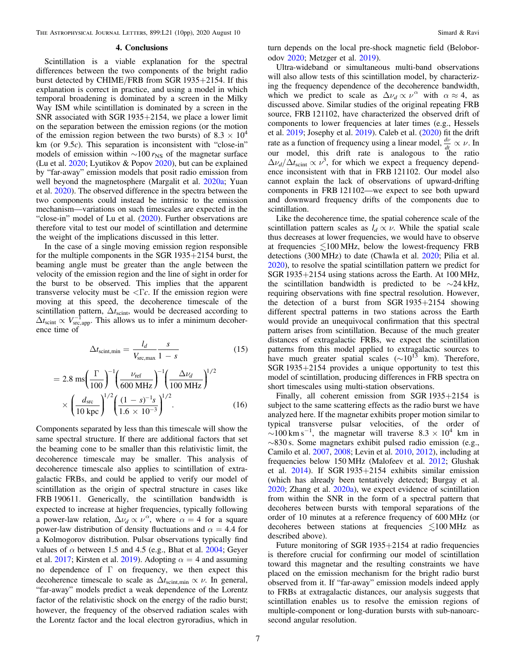<span id="page-6-0"></span>THE ASTROPHYSICAL JOURNAL LETTERS, 899:L21 (10pp), 2020 August 10 Simard & Ravi

#### 4. Conclusions

Scintillation is a viable explanation for the spectral differences between the two components of the bright radio burst detected by CHIME/FRB from SGR 1935+2154. If this explanation is correct in practice, and using a model in which temporal broadening is dominated by a screen in the Milky Way ISM while scintillation is dominated by a screen in the SNR associated with SGR 1935+2154, we place a lower limit on the separation between the emission regions (or the motion of the emission region between the two bursts) of  $8.3 \times 10^4$ km (or  $9.5c$ ). This separation is inconsistent with "close-in" models of emission within  $\sim$ 100  $r_{\rm NS}$  of the magnetar surface (Lu et al. [2020](#page-8-0); Lyutikov & Popov [2020](#page-8-0)), but can be explained by "far-away" emission models that posit radio emission from well beyond the magnetosphere (Margalit et al. [2020a;](#page-8-0) Yuan et al. [2020](#page-9-0)). The observed difference in the spectra between the two components could instead be intrinsic to the emission mechanism—variations on such timescales are expected in the "close-in" model of Lu et al. ([2020](#page-8-0)). Further observations are therefore vital to test our model of scintillation and determine the weight of the implications discussed in this letter.

In the case of a single moving emission region responsible for the multiple components in the SGR 1935+2154 burst, the beaming angle must be greater than the angle between the velocity of the emission region and the line of sight in order for the burst to be observed. This implies that the apparent transverse velocity must be  $\langle \nabla c \rangle$ . If the emission region were moving at this speed, the decoherence timescale of the scintillation pattern,  $\Delta t$ <sub>scint</sub>, would be decreased according to  $\Delta t_{\rm scint} \propto V_{\rm src, app}^{-1}$ . This allows us to infer a minimum decoherence time of

$$
\Delta t_{\text{scint,min}} = \frac{l_d}{V_{\text{src,max}}} \frac{s}{1 - s} \tag{15}
$$

$$
= 2.8 \text{ ms} \left(\frac{\Gamma}{100}\right)^{-1} \left(\frac{\nu_{\text{ref}}}{600 \text{ MHz}}\right)^{-1} \left(\frac{\Delta \nu_d}{100 \text{ MHz}}\right)^{1/2} \times \left(\frac{d_{\text{src}}}{10 \text{ kpc}}\right)^{1/2} \left(\frac{(1-s)^{-1}s}{1.6 \times 10^{-3}}\right)^{1/2}.
$$
 (16)

Components separated by less than this timescale will show the same spectral structure. If there are additional factors that set the beaming cone to be smaller than this relativistic limit, the decoherence timescale may be smaller. This analysis of decoherence timescale also applies to scintillation of extragalactic FRBs, and could be applied to verify our model of scintillation as the origin of spectral structure in cases like FRB 190611. Generically, the scintillation bandwidth is expected to increase at higher frequencies, typically following a power-law relation,  $\Delta \nu_d \propto \nu^{\alpha}$ , where  $\alpha = 4$  for a square power-law distribution of density fluctuations and  $\alpha = 4.4$  for a Kolmogorov distribution. Pulsar observations typically find values of  $\alpha$  between 1.5 and 4.5 (e.g., Bhat et al. [2004](#page-8-0); Geyer et al. [2017;](#page-8-0) Kirsten et al. [2019](#page-8-0)). Adopting  $\alpha = 4$  and assuming no dependence of Γ on frequency, we then expect this decoherence timescale to scale as  $\Delta t_{\text{scint,min}} \propto \nu$ . In general, "far-away" models predict a weak dependence of the Lorentz factor of the relativistic shock on the energy of the radio burst; however, the frequency of the observed radiation scales with the Lorentz factor and the local electron gyroradius, which in

turn depends on the local pre-shock magnetic field (Beloborodov [2020](#page-8-0); Metzger et al. [2019](#page-8-0)).

Ultra-wideband or simultaneous multi-band observations will also allow tests of this scintillation model, by characterizing the frequency dependence of the decoherence bandwidth, which we predict to scale as  $\Delta v_d \propto v^{\alpha}$  with  $\alpha \approx 4$ , as discussed above. Similar studies of the original repeating FRB source, FRB 121102, have characterized the observed drift of components to lower frequencies at later times (e.g., Hessels et al. [2019;](#page-8-0) Josephy et al. [2019](#page-8-0)). Caleb et al. ([2020](#page-8-0)) fit the drift rate as a function of frequency using a linear model,  $\frac{dv}{dt} \propto \nu$ . In our model, this drift rate is analogous to the ratio  $\Delta\nu_d/\Delta t_{\text{scint}} \propto \nu^3$ , for which we expect a frequency dependence inconsistent with that in FRB 121102. Our model also cannot explain the lack of observations of upward-drifting components in FRB 121102—we expect to see both upward and downward frequency drifts of the components due to scintillation.

Like the decoherence time, the spatial coherence scale of the scintillation pattern scales as  $l_d \propto \nu$ . While the spatial scale thus decreases at lower frequencies, we would have to observe at frequencies  $\leq 100 \text{ MHz}$ , below the lowest-frequency FRB detections (300 MHz) to date (Chawla et al. [2020;](#page-8-0) Pilia et al. [2020](#page-8-0)), to resolve the spatial scintillation pattern we predict for SGR 1935+2154 using stations across the Earth. At 100 MHz, the scintillation bandwidth is predicted to be ∼24 kHz, requiring observations with fine spectral resolution. However, the detection of a burst from SGR 1935+2154 showing different spectral patterns in two stations across the Earth would provide an unequivocal confirmation that this spectral pattern arises from scintillation. Because of the much greater distances of extragalactic FRBs, we expect the scintillation patterns from this model applied to extragalactic sources to have much greater spatial scales ( $\sim 10^{13}$  km). Therefore, SGR 1935+2154 provides a unique opportunity to test this model of scintillation, producing differences in FRB spectra on short timescales using multi-station observations.

Finally, all coherent emission from SGR 1935+2154 is subject to the same scattering effects as the radio burst we have analyzed here. If the magnetar exhibits proper motion similar to typical transverse pulsar velocities, of the order of  $\sim$ 100 km s<sup>-1</sup>, the magnetar will traverse 8.3 × 10<sup>4</sup> km in ∼830 s. Some magnetars exhibit pulsed radio emission (e.g., Camilo et al. [2007](#page-8-0), [2008](#page-8-0); Levin et al. [2010,](#page-8-0) [2012](#page-8-0)), including at frequencies below 150 MHz (Malofeev et al. [2012;](#page-8-0) Glushak et al. [2014](#page-8-0)). If SGR 1935+2154 exhibits similar emission (which has already been tentatively detected; Burgay et al. [2020;](#page-8-0) Zhang et al. [2020a](#page-9-0)), we expect evidence of scintillation from within the SNR in the form of a spectral pattern that decoheres between bursts with temporal separations of the order of 10 minutes at a reference frequency of 600 MHz (or decoheres between stations at frequencies  $\leq 100 \text{ MHz}$  as described above).

Future monitoring of SGR 1935+2154 at radio frequencies is therefore crucial for confirming our model of scintillation toward this magnetar and the resulting constraints we have placed on the emission mechanism for the bright radio burst observed from it. If "far-away" emission models indeed apply to FRBs at extragalactic distances, our analysis suggests that scintillation enables us to resolve the emission regions of multiple-component or long-duration bursts with sub-nanoarcsecond angular resolution.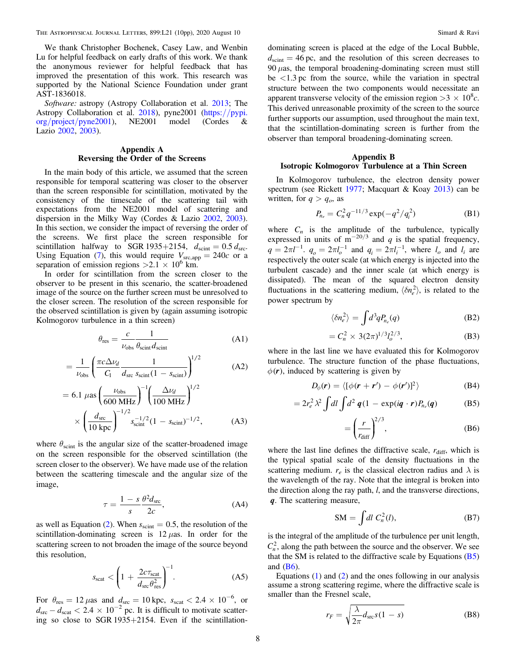<span id="page-7-0"></span>We thank Christopher Bochenek, Casey Law, and Wenbin Lu for helpful feedback on early drafts of this work. We thank the anonymous reviewer for helpful feedback that has improved the presentation of this work. This research was supported by the National Science Foundation under grant AST-1836018.

Software: astropy (Astropy Collaboration et al. [2013;](#page-8-0) The Astropy Collaboration et al. [2018](#page-9-0)), pyne2001 ([https:](https://pypi.org/project/pyne2001)//pypi. org/project/[pyne2001](https://pypi.org/project/pyne2001)), NE2001 model (Cordes & Lazio [2002,](#page-8-0) [2003](#page-8-0)).

# Appendix A Reversing the Order of the Screens

In the main body of this article, we assumed that the screen responsible for temporal scattering was closer to the observer than the screen responsible for scintillation, motivated by the consistency of the timescale of the scattering tail with expectations from the NE2001 model of scattering and dispersion in the Milky Way (Cordes & Lazio [2002,](#page-8-0) [2003](#page-8-0)). In this section, we consider the impact of reversing the order of the screens. We first place the screen responsible for scintillation halfway to SGR 1935+2154,  $d_{\text{scint}} = 0.5 d_{\text{src}}$ . Using Equation ([7](#page-3-0)), this would require  $V_{\text{src,app}} = 240c$  or a separation of emission regions  $>2.1 \times 10^6$  km.

In order for scintillation from the screen closer to the observer to be present in this scenario, the scatter-broadened image of the source on the further screen must be unresolved to the closer screen. The resolution of the screen responsible for the observed scintillation is given by (again assuming isotropic Kolmogorov turbulence in a thin screen)

$$
\theta_{\rm res} = \frac{c}{\nu_{\rm obs}} \frac{1}{\theta_{\rm scint} d_{\rm scint}} \tag{A1}
$$

$$
= \frac{1}{\nu_{\text{obs}}} \left( \frac{\pi c \Delta \nu_d}{C_1} \frac{1}{d_{\text{src}} s_{\text{scint}} (1 - s_{\text{scint}})} \right)^{1/2} \tag{A2}
$$

$$
= 6.1 \ \mu\text{as}\left(\frac{\nu_{\text{obs}}}{600 \ \text{MHz}}\right)^{-1} \left(\frac{\Delta \nu_d}{100 \ \text{MHz}}\right)^{1/2} \times \left(\frac{d_{\text{src}}}{10 \ \text{kpc}}\right)^{-1/2} s_{\text{scint}}^{-1/2} (1 - s_{\text{scint}})^{-1/2},\tag{A3}
$$

where  $\theta_{\text{scint}}$  is the angular size of the scatter-broadened image on the screen responsible for the observed scintillation (the screen closer to the observer). We have made use of the relation between the scattering timescale and the angular size of the image,

$$
\tau = \frac{1 - s}{s} \frac{\theta^2 d_{\rm src}}{2c},\tag{A4}
$$

as well as Equation ([2](#page-2-0)). When  $s_{\text{scint}} = 0.5$ , the resolution of the scintillation-dominating screen is  $12 \mu as$ . In order for the scattering screen to not broaden the image of the source beyond this resolution,

$$
s_{\text{scat}} < \left(1 + \frac{2c\tau_{\text{scat}}}{d_{\text{src}}\theta_{\text{res}}^2}\right)^{-1}.\tag{A5}
$$

For  $\theta_{\text{res}} = 12 \,\mu\text{as}$  and  $d_{\text{src}} = 10 \,\text{kpc}, s_{\text{scat}} < 2.4 \times 10^{-6}$ , or  $d_{\rm src} - d_{\rm scat} < 2.4 \times 10^{-2}$  pc. It is difficult to motivate scattering so close to SGR 1935+2154. Even if the scintillation-

dominating screen is placed at the edge of the Local Bubble,  $d_{\text{scint}} = 46 \text{ pc}$ , and the resolution of this screen decreases to 90  $\mu$ as, the temporal broadening-dominating screen must still be  $\langle 1.3 \rangle$  pc from the source, while the variation in spectral structure between the two components would necessitate an apparent transverse velocity of the emission region  $>3 \times 10^8 c$ . This derived unreasonable proximity of the screen to the source further supports our assumption, used throughout the main text, that the scintillation-dominating screen is further from the observer than temporal broadening-dominating screen.

### Appendix B Isotropic Kolmogorov Turbulence at a Thin Screen

In Kolmogorov turbulence, the electron density power spectrum (see Rickett [1977;](#page-8-0) Macquart & Koay [2013](#page-8-0)) can be written, for  $q > q_o$ , as

$$
P_{n_e} = C_n^2 q^{-11/3} \exp(-q^2/q_i^2)
$$
 (B1)

where  $C_n$  is the amplitude of the turbulence, typically expressed in units of  $m^{-20/3}$  and q is the spatial frequency,  $q = 2\pi l^{-1}$ ,  $q_o = 2\pi l_o^{-1}$  and  $q_i = 2\pi l_i^{-1}$ , where  $l_o$  and  $l_i$  are respectively the outer scale (at which energy is injected into the turbulent cascade) and the inner scale (at which energy is dissipated). The mean of the squared electron density fluctuations in the scattering medium,  $\langle \delta n_e^2 \rangle$ , is related to the power spectrum by

$$
\langle \delta n_e^2 \rangle = \int d^3q P_{n_e}(q) \tag{B2}
$$

$$
= C_n^2 \times 3(2\pi)^{1/3} l_o^{2/3}, \tag{B3}
$$

where in the last line we have evaluated this for Kolmogorov turbulence. The structure function of the phase fluctuations,  $\phi(r)$ , induced by scattering is given by

$$
D_{\phi}(\mathbf{r}) = \langle [\phi(\mathbf{r} + \mathbf{r}') - \phi(\mathbf{r}')]^2 \rangle \tag{B4}
$$

$$
=2r_e^2\lambda^2\int dl\int d^2\,\mathbf{q}(1-\exp(i\mathbf{q}\cdot\mathbf{r})P_{n_e}(\mathbf{q})\qquad\qquad(\text{B5})
$$

$$
= \left(\frac{r}{r_{\text{diff}}}\right)^{2/3},\tag{B6}
$$

where the last line defines the diffractive scale,  $r_{\text{diff}}$ , which is the typical spatial scale of the density fluctuations in the scattering medium.  $r_e$  is the classical electron radius and  $\lambda$  is the wavelength of the ray. Note that the integral is broken into the direction along the ray path, l, and the transverse directions, q. The scattering measure,

$$
SM = \int dl C_n^2(l),
$$
 (B7)

is the integral of the amplitude of the turbulence per unit length,  $C_n^2$ , along the path between the source and the observer. We see that the SM is related to the diffractive scale by Equations  $(B5)$ and (B6).

Equations  $(1)$  $(1)$  $(1)$  and  $(2)$  $(2)$  $(2)$  and the ones following in our analysis assume a strong scattering regime, where the diffractive scale is smaller than the Fresnel scale,

$$
r_F = \sqrt{\frac{\lambda}{2\pi}} d_{\rm src} s (1 - s) \tag{B8}
$$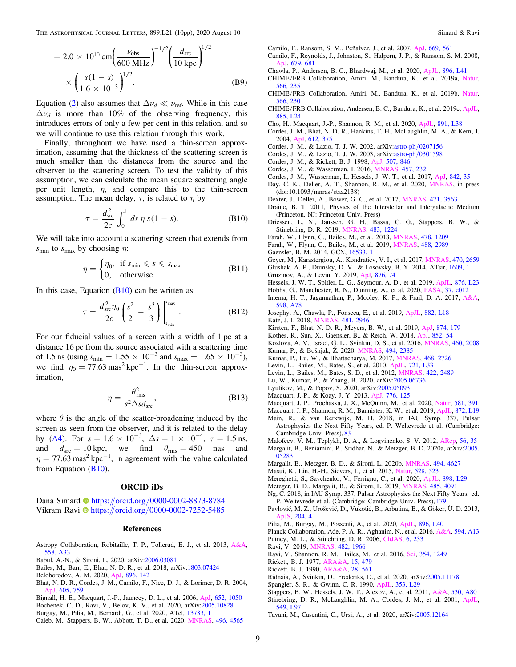<span id="page-8-0"></span>THE ASTROPHYSICAL JOURNAL LETTERS, 899:L21 (10pp), 2020 August 10 Simard & Ravi

$$
= 2.0 \times 10^{10} \text{ cm} \left( \frac{\nu_{\text{obs}}}{600 \text{ MHz}} \right)^{-1/2} \left( \frac{d_{\text{src}}}{10 \text{ kpc}} \right)^{1/2}
$$

$$
\times \left( \frac{s(1-s)}{1.6 \times 10^{-3}} \right)^{1/2} . \tag{B9}
$$

Equation ([2](#page-2-0)) also assumes that  $\Delta \nu_d \ll \nu_{\rm ref}$ . While in this case  $\Delta v_d$  is more than 10% of the observing frequency, this introduces errors of only a few per cent in this relation, and so we will continue to use this relation through this work.

Finally, throughout we have used a thin-screen approximation, assuming that the thickness of the scattering screen is much smaller than the distances from the source and the observer to the scattering screen. To test the validity of this assumption, we can calculate the mean square scattering angle per unit length,  $\eta$ , and compare this to the thin-screen assumption. The mean delay,  $\tau$ , is related to  $\eta$  by

$$
\tau = \frac{d_{\rm src}^2}{2c} \int_0^1 ds \ \eta \ s(1 - s). \tag{B10}
$$

We will take into account a scattering screen that extends from  $s_{\text{min}}$  to  $s_{\text{max}}$  by choosing  $\eta$ :

$$
\eta = \begin{cases} \eta_0, & \text{if } s_{\min} \leqslant s \leqslant s_{\max} \\ 0, & \text{otherwise.} \end{cases}
$$
 (B11)

In this case, Equation  $(B10)$  can be written as

$$
\tau = \frac{d_{\rm src}^2 \eta_0}{2c} \left( \frac{s^2}{2} - \frac{s^3}{3} \right) \Big|_{s_{\rm min}}^{s_{\rm max}} . \tag{B12}
$$

For our fiducial values of a screen with a width of 1 pc at a distance 16 pc from the source associated with a scattering time of 1.5 ns (using  $s_{\text{min}} = 1.55 \times 10^{-3}$  and  $s_{\text{max}} = 1.65 \times 10^{-3}$ ), we find  $\eta_0 = 77.63 \text{ mas}^2 \text{ kpc}^{-1}$ . In the thin-screen approximation,

$$
\eta = \frac{\theta_{\text{rms}}^2}{s^2 \Delta s d_{\text{src}}},\tag{B13}
$$

where  $\theta$  is the angle of the scatter-broadening induced by the screen as seen from the observer, and it is related to the delay by ([A4](#page-7-0)). For  $s = 1.6 \times 10^{-3}$ ,  $\Delta s = 1 \times 10^{-4}$ ,  $\tau = 1.5$  ns, and  $d_{\text{src}} = 10 \text{ kpc}$ , we find  $\theta_{\text{rms}} = 450$  nas and  $\eta = 77.63$  mas<sup>2</sup> kpc<sup>-1</sup>, in agreement with the value calculated from Equation (B10).

#### ORCID iDs

Dana Simard **the [https:](https://orcid.org/0000-0002-8873-8784)**//orcid.org/[0000-0002-8873-8784](https://orcid.org/0000-0002-8873-8784) V[i](https://orcid.org/0000-0002-7252-5485)kram Ravi <sup>th</sup> [https:](https://orcid.org/0000-0002-7252-5485)//orcid.org/[0000-0002-7252-5485](https://orcid.org/0000-0002-7252-5485)

#### References

- Astropy Collaboration, Robitaille, T. P., Tollerud, E. J., et al. 2013, [A&A](https://doi.org/10.1051/0004-6361/201322068)[,](https://ui.adsabs.harvard.edu/abs/2013A&A...558A..33A/abstract) [558, A33](https://ui.adsabs.harvard.edu/abs/2013A&A...558A..33A/abstract)
- Babul, A.-N., & Sironi, L. 2020, arXiv:[2006.03081](http://arxiv.org/abs/2006.03081)
- Bailes, M., Barr, E., Bhat, N. D. R., et al. 2018, arXiv:[1803.07424](http://arxiv.org/abs/1803.07424)
- Beloborodov, A. M. 2020, [ApJ](https://doi.org/10.3847/1538-4357/ab83eb), [896, 142](https://ui.adsabs.harvard.edu/abs/2020ApJ...896..142B/abstract)
- Bhat, N. D. R., Cordes, J. M., Camilo, F., Nice, D. J., & Lorimer, D. R. 2004, [ApJ,](https://doi.org/10.1086/382680) [605, 759](https://ui.adsabs.harvard.edu/abs/2004ApJ...605..759B/abstract)
- Bignall, H. E., Macquart, J.-P., Jauncey, D. L., et al. 2006, [ApJ](https://doi.org/10.1086/508406), [652, 1050](https://ui.adsabs.harvard.edu/abs/2006ApJ...652.1050B/abstract)
- Bochenek, C. D., Ravi, V., Belov, K. V., et al. 2020, arXiv[:2005.10828](http://arxiv.org/abs/2005.10828)
- Burgay, M., Pilia, M., Bernardi, G., et al. 2020, ATel, [13783, 1](https://ui.adsabs.harvard.edu/abs/2020ATel13783....1B/abstract)
- Caleb, M., Stappers, B. W., Abbott, T. D., et al. 2020, [MNRAS](https://doi.org/10.1093/mnras/staa1791), [496, 4565](https://ui.adsabs.harvard.edu/abs/2020MNRAS.496.4565C/abstract)

Camilo, F., Ransom, S. M., Peñalver, J., et al. 2007, [ApJ](https://doi.org/10.1086/521548), [669, 561](https://ui.adsabs.harvard.edu/abs/2007ApJ...669..561C/abstract)

- Camilo, F., Reynolds, J., Johnston, S., Halpern, J. P., & Ransom, S. M. 2008, [ApJ,](https://doi.org/10.1086/587054) [679, 681](https://ui.adsabs.harvard.edu/abs/2008ApJ...679..681C/abstract)
- Chawla, P., Andersen, B. C., Bhardwaj, M., et al. 2020, [ApJL](https://doi.org/10.3847/2041-8213/ab96bf), [896, L41](https://ui.adsabs.harvard.edu/abs/2020ApJ...896L..41C/abstract)
- CHIME/FRB Collaboration, Amiri, M., Bandura, K., et al. 2019a, [Natur](https://doi.org/10.1038/s41586-018-0864-x)[,](https://ui.adsabs.harvard.edu/abs/2019Natur.566..235C/abstract) [566, 235](https://ui.adsabs.harvard.edu/abs/2019Natur.566..235C/abstract)
- CHIME/FRB Collaboration, Amiri, M., Bandura, K., et al. 2019b, [Natur](https://doi.org/10.1038/s41586-018-0867-7)[,](https://ui.adsabs.harvard.edu/abs/2019Natur.566..230C/abstract) [566, 230](https://ui.adsabs.harvard.edu/abs/2019Natur.566..230C/abstract)
- CHIME/FRB Collaboration, Andersen, B. C., Bandura, K., et al. 2019c, [ApJL](https://doi.org/10.3847/2041-8213/ab4a80)[,](https://ui.adsabs.harvard.edu/abs/2019ApJ...885L..24C/abstract) [885, L24](https://ui.adsabs.harvard.edu/abs/2019ApJ...885L..24C/abstract)
- Cho, H., Macquart, J.-P., Shannon, R. M., et al. 2020, [ApJL,](https://doi.org/10.3847/2041-8213/ab7824) [891, L38](https://ui.adsabs.harvard.edu/abs/2020ApJ...891L..38C/abstract)
- Cordes, J. M., Bhat, N. D. R., Hankins, T. H., McLaughlin, M. A., & Kern, J. 2004, [ApJ](https://doi.org/10.1086/422495), [612, 375](https://ui.adsabs.harvard.edu/abs/2004ApJ...612..375C/abstract)
- Cordes, J. M., & Lazio, T. J. W. 2002, arXiv:astro-ph/[0207156](http://arxiv.org/abs/astro-ph/0207156)
- Cordes, J. M., & Lazio, T. J. W. 2003, arXiv:astro-ph/[0301598](http://arxiv.org/abs/astro-ph/0301598)
- Cordes, J. M., & Rickett, B. J. 1998, [ApJ,](https://doi.org/10.1086/306358) [507, 846](https://ui.adsabs.harvard.edu/abs/1998ApJ...507..846C/abstract)
- Cordes, J. M., & Wasserman, I. 2016, [MNRAS,](https://doi.org/10.1093/mnras/stv2948) [457, 232](https://ui.adsabs.harvard.edu/abs/2016MNRAS.457..232C/abstract)
- Cordes, J. M., Wasserman, I., Hessels, J. W. T., et al. 2017, [ApJ](https://doi.org/10.3847/1538-4357/aa74da), [842, 35](https://ui.adsabs.harvard.edu/abs/2017ApJ...842...35C/abstract) Day, C. K., Deller, A. T., Shannon, R. M., et al. 2020, [MNRAS,](https://doi.org/10.1093/mnras/staa2138) in press
- (doi:10.1093/mnras/staa2138) Dexter, J., Deller, A., Bower, G. C., et al. 2017, [MNRAS,](https://doi.org/10.1093/mnras/stx1777) [471, 3563](https://ui.adsabs.harvard.edu/abs/2017MNRAS.471.3563D/abstract)
- Draine, B. T. 2011, Physics of the Interstellar and Intergalactic Medium (Princeton, NJ: Princeton Univ. Press)
- Driessen, L. N., Janssen, G. H., Bassa, C. G., Stappers, B. W., & Stinebring, D. R. 2019, [MNRAS,](https://doi.org/10.1093/mnras/sty3192) [483, 1224](https://ui.adsabs.harvard.edu/abs/2019MNRAS.483.1224D/abstract)
- Farah, W., Flynn, C., Bailes, M., et al. 2018, [MNRAS](https://doi.org/10.1093/mnras/sty1122), [478, 1209](https://ui.adsabs.harvard.edu/abs/2018MNRAS.478.1209F/abstract)
- Farah, W., Flynn, C., Bailes, M., et al. 2019, [MNRAS](https://doi.org/10.1093/mnras/stz1748), [488, 2989](https://ui.adsabs.harvard.edu/abs/2019MNRAS.488.2989F/abstract)
- Gaensler, B. M. 2014, GCN, [16533, 1](https://ui.adsabs.harvard.edu/abs/2014GCN.16533....1G/abstract)
- Geyer, M., Karastergiou, A., Kondratiev, V. I., et al. 2017, [MNRAS](https://doi.org/10.1093/mnras/stx1151), [470, 2659](https://ui.adsabs.harvard.edu/abs/2017MNRAS.470.2659G/abstract)
- Glushak, A. P., Dumsky, D. V., & Losovsky, B. Y. 2014, ATsir, [1609, 1](https://ui.adsabs.harvard.edu/abs/2014ATsir1609....1G/abstract)
- Gruzinov, A., & Levin, Y. 2019, [ApJ](https://doi.org/10.3847/1538-4357/ab0fa3), [876, 74](https://ui.adsabs.harvard.edu/abs/2019ApJ...876...74G/abstract)
- Hessels, J. W. T., Spitler, L. G., Seymour, A. D., et al. 2019, [ApJL](https://doi.org/10.3847/2041-8213/ab13ae), [876, L23](https://ui.adsabs.harvard.edu/abs/2019ApJ...876L..23H/abstract)
- Hobbs, G., Manchester, R. N., Dunning, A., et al. 2020, [PASA,](https://doi.org/10.1017/pasa.2020.2) [37, e012](https://ui.adsabs.harvard.edu/abs/2020PASA...37...12H/abstract) Intema, H. T., Jagannathan, P., Mooley, K. P., & Frail, D. A. 2017, [A&A](https://doi.org/10.1051/0004-6361/201628536)[,](https://ui.adsabs.harvard.edu/abs/2017A&A...598A..78I/abstract) [598, A78](https://ui.adsabs.harvard.edu/abs/2017A&A...598A..78I/abstract)
- Josephy, A., Chawla, P., Fonseca, E., et al. 2019, [ApJL](https://doi.org/10.3847/2041-8213/ab2c00), [882, L18](https://ui.adsabs.harvard.edu/abs/2019ApJ...882L..18J/abstract) Katz, J. I. 2018, [MNRAS](https://doi.org/10.1093/mnras/sty2459), [481, 2946](https://ui.adsabs.harvard.edu/abs/2018MNRAS.481.2946K/abstract)
- Kirsten, F., Bhat, N. D. R., Meyers, B. W., et al. 2019, [ApJ](https://doi.org/10.3847/1538-4357/ab0c05), [874, 179](https://ui.adsabs.harvard.edu/abs/2019ApJ...874..179K/abstract)
- Kothes, R., Sun, X., Gaensler, B., & Reich, W. 2018, [ApJ](https://doi.org/10.3847/1538-4357/aa9e89), [852, 54](https://ui.adsabs.harvard.edu/abs/2018ApJ...852...54K/abstract)
- Kozlova, A. V., Israel, G. L., Svinkin, D. S., et al. 2016, [MNRAS](https://doi.org/10.1093/mnras/stw1109), [460, 2008](https://ui.adsabs.harvard.edu/abs/2016MNRAS.460.2008K/abstract) Kumar, P., & Bošnjak, Ž. 2020, [MNRAS](https://doi.org/10.1093/mnras/staa774), [494, 2385](https://ui.adsabs.harvard.edu/abs/2020MNRAS.494.2385K/abstract)
- Kumar, P., Lu, W., & Bhattacharya, M. 2017, [MNRAS,](https://doi.org/10.1093/mnras/stx665) [468, 2726](https://ui.adsabs.harvard.edu/abs/2017MNRAS.468.2726K/abstract)
- Levin, L., Bailes, M., Bates, S., et al. 2010, [ApJL](https://doi.org/10.1088/2041-8205/721/1/L33), [721, L33](https://ui.adsabs.harvard.edu/abs/2010ApJ...721L..33L/abstract)
- Levin, L., Bailes, M., Bates, S. D., et al. 2012, [MNRAS](https://doi.org/10.1111/j.1365-2966.2012.20807.x), [422, 2489](https://ui.adsabs.harvard.edu/abs/2012MNRAS.422.2489L/abstract)
- Lu, W., Kumar, P., & Zhang, B. 2020, arXiv[:2005.06736](http://arxiv.org/abs/2005.06736)
- Lyutikov, M., & Popov, S. 2020, arXiv:[2005.05093](http://arxiv.org/abs/2005.05093)
- Macquart, J.-P., & Koay, J. Y. 2013, [ApJ,](https://doi.org/10.1088/0004-637X/776/2/125) [776, 125](https://ui.adsabs.harvard.edu/abs/2013ApJ...776..125M/abstract)
- Macquart, J. P., Prochaska, J. X., McQuinn, M., et al. 2020, [Natur,](https://doi.org/10.1038/s41586-020-2300-2) [581, 391](https://ui.adsabs.harvard.edu/abs/2020Natur.581..391M/abstract)
- Macquart, J. P., Shannon, R. M., Bannister, K. W., et al. 2019, [ApJL](https://doi.org/10.3847/2041-8213/ab03d6), [872, L19](https://ui.adsabs.harvard.edu/abs/2019ApJ...872L..19M/abstract)
- Main, R., & van Kerkwijk, M. H. 2018, in IAU Symp. 337, Pulsar Astrophysics the Next Fifty Years, ed. P. Weltevrede et al. (Cambridge: Cambridge Univ. Press), [83](https://ui.adsabs.harvard.edu/abs/2018IAUS..337...83M/abstract)
- Malofeev, V. M., Teplykh, D. A., & Logvinenko, S. V. 2012, [ARep,](https://doi.org/10.1134/S1063772912010052) [56, 35](https://ui.adsabs.harvard.edu/abs/2012ARep...56...35M/abstract)
- Margalit, B., Beniamini, P., Sridhar, N., & Metzger, B. D. 2020a, arXiv:[2005.](http://arxiv.org/abs/2005.05283) [05283](http://arxiv.org/abs/2005.05283)
- Margalit, B., Metzger, B. D., & Sironi, L. 2020b, [MNRAS,](https://doi.org/10.1093/mnras/staa1036) [494, 4627](https://ui.adsabs.harvard.edu/abs/2020MNRAS.494.4627M/abstract)
- Masui, K., Lin, H.-H., Sievers, J., et al. 2015, [Natur,](https://doi.org/10.1038/nature15769) [528, 523](https://ui.adsabs.harvard.edu/abs/2015Natur.528..523M/abstract)
- Mereghetti, S., Savchenko, V., Ferrigno, C., et al. 2020, [ApJL](https://doi.org/10.3847/2041-8213/aba2cf), [898, L29](https://ui.adsabs.harvard.edu/abs/2020ApJ...898L..29M/abstract)
- Metzger, B. D., Margalit, B., & Sironi, L. 2019, [MNRAS,](https://doi.org/10.1093/mnras/stz700) [485, 4091](https://ui.adsabs.harvard.edu/abs/2019MNRAS.485.4091M/abstract)
- Ng, C. 2018, in IAU Symp. 337, Pulsar Astrophysics the Next Fifty Years, ed. P. Weltevrede et al. (Cambridge: Cambridge Univ. Press), [179](https://ui.adsabs.harvard.edu/abs/2018IAUS..337..179N/abstract)
- Pavlović, M. Z., Urošević, D., Vukotić, B., Arbutina, B., & Göker, Ü. D. 2013, [ApJS](https://doi.org/10.1088/0067-0049/204/1/4), [204, 4](https://ui.adsabs.harvard.edu/abs/2013ApJS..204....4P/abstract)
- Pilia, M., Burgay, M., Possenti, A., et al. 2020, [ApJL](https://doi.org/10.3847/2041-8213/ab96c0), [896, L40](https://ui.adsabs.harvard.edu/abs/2020ApJ...896L..40P/abstract)
- Planck Collaboration, Ade, P. A. R., Aghanim, N., et al. 2016, [A&A](https://doi.org/10.1051/0004-6361/201525830), [594, A13](https://ui.adsabs.harvard.edu/abs/2016A&A...594A..13P/abstract)
- Putney, M. L., & Stinebring, D. R. 2006, [ChJAS](https://doi.org/10.1088/1009-9271/6/S2/43), [6, 233](https://ui.adsabs.harvard.edu/abs/2006ChJAS...6b.233P/abstract)
- Ravi, V. 2019, [MNRAS,](https://doi.org/10.1093/mnras/sty1551) [482, 1966](https://ui.adsabs.harvard.edu/abs/2019MNRAS.482.1966R/abstract)
- Ravi, V., Shannon, R. M., Bailes, M., et al. 2016, [Sci](https://doi.org/10.1126/science.aaf6807), [354, 1249](https://ui.adsabs.harvard.edu/abs/2016Sci...354.1249R/abstract)
- Rickett, B. J. 1977, [ARA&A](https://doi.org/10.1146/annurev.aa.15.090177.002403), [15, 479](https://ui.adsabs.harvard.edu/abs/1977ARA&A..15..479R/abstract)
- Rickett, B. J. 1990, [ARA&A](https://doi.org/10.1146/annurev.aa.28.090190.003021), [28, 561](https://ui.adsabs.harvard.edu/abs/1990ARA&A..28..561R/abstract)
- Ridnaia, A., Svinkin, D., Frederiks, D., et al. 2020, arXiv[:2005.11178](http://arxiv.org/abs/2005.11178)
- Spangler, S. R., & Gwinn, C. R. 1990, [ApJL,](https://doi.org/10.1086/185700) [353, L29](https://ui.adsabs.harvard.edu/abs/1990ApJ...353L..29S/abstract)
- Stappers, B. W., Hessels, J. W. T., Alexov, A., et al. 2011, [A&A,](https://doi.org/10.1051/0004-6361/201116681) [530, A80](https://ui.adsabs.harvard.edu/abs/2011A&A...530A..80S/abstract) Stinebring, D. R., McLaughlin, M. A., Cordes, J. M., et al. 2001, [ApJL](https://doi.org/10.1086/319133)[,](https://ui.adsabs.harvard.edu/abs/2001ApJ...549L..97S/abstract) [549, L97](https://ui.adsabs.harvard.edu/abs/2001ApJ...549L..97S/abstract)
- Tavani, M., Casentini, C., Ursi, A., et al. 2020, arXiv[:2005.12164](http://arxiv.org/abs/2005.12164)